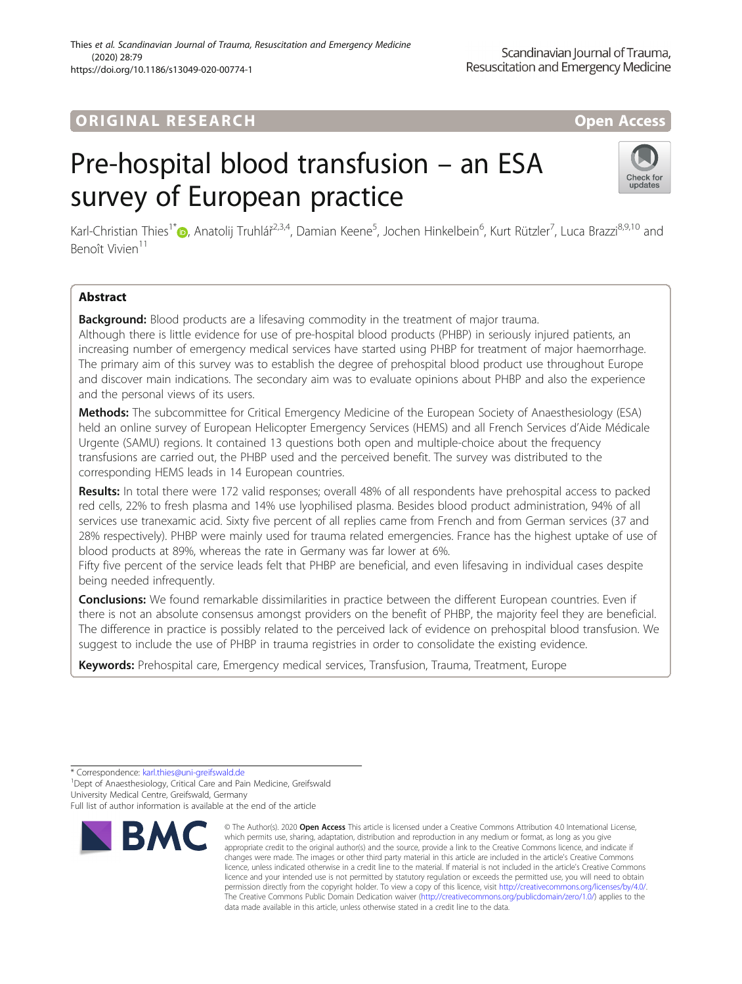## **ORIGINAL RESEARCH And Access** open Access

# Pre-hospital blood transfusion – an ESA survey of European practice



Karl-Christian Thies<sup>1\*</sup>®[,](http://orcid.org/0000-0001-9939-4166) Anatolij Truhlář<sup>2,3,4</sup>, Damian Keene<sup>5</sup>, Jochen Hinkelbein<sup>6</sup>, Kurt Rützler<sup>7</sup>, Luca Brazzi<sup>8,9,10</sup> and Benoît Vivien<sup>11</sup>

### Abstract

**Background:** Blood products are a lifesaving commodity in the treatment of major trauma. Although there is little evidence for use of pre-hospital blood products (PHBP) in seriously injured patients, an increasing number of emergency medical services have started using PHBP for treatment of major haemorrhage. The primary aim of this survey was to establish the degree of prehospital blood product use throughout Europe and discover main indications. The secondary aim was to evaluate opinions about PHBP and also the experience and the personal views of its users.

Methods: The subcommittee for Critical Emergency Medicine of the European Society of Anaesthesiology (ESA) held an online survey of European Helicopter Emergency Services (HEMS) and all French Services d'Aide Médicale Urgente (SAMU) regions. It contained 13 questions both open and multiple-choice about the frequency transfusions are carried out, the PHBP used and the perceived benefit. The survey was distributed to the corresponding HEMS leads in 14 European countries.

Results: In total there were 172 valid responses; overall 48% of all respondents have prehospital access to packed red cells, 22% to fresh plasma and 14% use lyophilised plasma. Besides blood product administration, 94% of all services use tranexamic acid. Sixty five percent of all replies came from French and from German services (37 and 28% respectively). PHBP were mainly used for trauma related emergencies. France has the highest uptake of use of blood products at 89%, whereas the rate in Germany was far lower at 6%.

Fifty five percent of the service leads felt that PHBP are beneficial, and even lifesaving in individual cases despite being needed infrequently.

**Conclusions:** We found remarkable dissimilarities in practice between the different European countries. Even if there is not an absolute consensus amongst providers on the benefit of PHBP, the majority feel they are beneficial. The difference in practice is possibly related to the perceived lack of evidence on prehospital blood transfusion. We suggest to include the use of PHBP in trauma registries in order to consolidate the existing evidence.

Keywords: Prehospital care, Emergency medical services, Transfusion, Trauma, Treatment, Europe

<sup>1</sup> Dept of Anaesthesiology, Critical Care and Pain Medicine, Greifswald University Medical Centre, Greifswald, Germany

Full list of author information is available at the end of the article



<sup>©</sup> The Author(s), 2020 **Open Access** This article is licensed under a Creative Commons Attribution 4.0 International License, which permits use, sharing, adaptation, distribution and reproduction in any medium or format, as long as you give appropriate credit to the original author(s) and the source, provide a link to the Creative Commons licence, and indicate if changes were made. The images or other third party material in this article are included in the article's Creative Commons licence, unless indicated otherwise in a credit line to the material. If material is not included in the article's Creative Commons licence and your intended use is not permitted by statutory regulation or exceeds the permitted use, you will need to obtain permission directly from the copyright holder. To view a copy of this licence, visit [http://creativecommons.org/licenses/by/4.0/.](http://creativecommons.org/licenses/by/4.0/) The Creative Commons Public Domain Dedication waiver [\(http://creativecommons.org/publicdomain/zero/1.0/](http://creativecommons.org/publicdomain/zero/1.0/)) applies to the data made available in this article, unless otherwise stated in a credit line to the data.

<sup>\*</sup> Correspondence: [karl.thies@uni-greifswald.de](mailto:karl.thies@uni-greifswald.de) <sup>1</sup>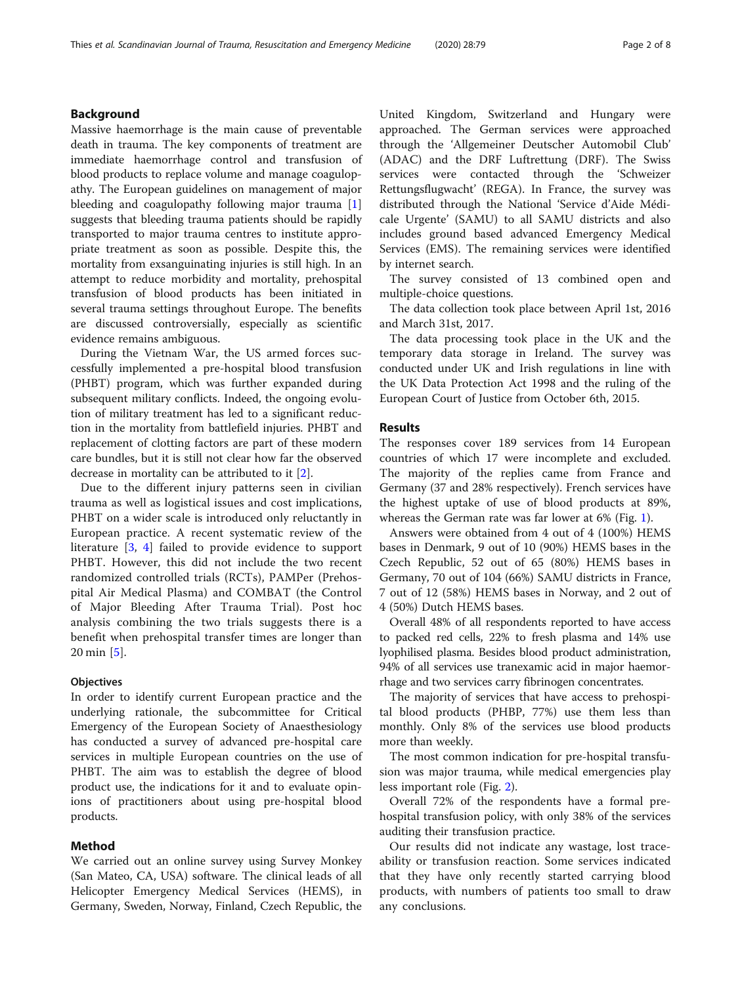#### Background

Massive haemorrhage is the main cause of preventable death in trauma. The key components of treatment are immediate haemorrhage control and transfusion of blood products to replace volume and manage coagulopathy. The European guidelines on management of major bleeding and coagulopathy following major trauma [\[1](#page-6-0)] suggests that bleeding trauma patients should be rapidly transported to major trauma centres to institute appropriate treatment as soon as possible. Despite this, the mortality from exsanguinating injuries is still high. In an attempt to reduce morbidity and mortality, prehospital transfusion of blood products has been initiated in several trauma settings throughout Europe. The benefits are discussed controversially, especially as scientific evidence remains ambiguous.

During the Vietnam War, the US armed forces successfully implemented a pre-hospital blood transfusion (PHBT) program, which was further expanded during subsequent military conflicts. Indeed, the ongoing evolution of military treatment has led to a significant reduction in the mortality from battlefield injuries. PHBT and replacement of clotting factors are part of these modern care bundles, but it is still not clear how far the observed decrease in mortality can be attributed to it [\[2](#page-6-0)].

Due to the different injury patterns seen in civilian trauma as well as logistical issues and cost implications, PHBT on a wider scale is introduced only reluctantly in European practice. A recent systematic review of the literature [[3,](#page-6-0) [4\]](#page-7-0) failed to provide evidence to support PHBT. However, this did not include the two recent randomized controlled trials (RCTs), PAMPer (Prehospital Air Medical Plasma) and COMBAT (the Control of Major Bleeding After Trauma Trial). Post hoc analysis combining the two trials suggests there is a benefit when prehospital transfer times are longer than 20 min [\[5](#page-7-0)].

#### **Objectives**

In order to identify current European practice and the underlying rationale, the subcommittee for Critical Emergency of the European Society of Anaesthesiology has conducted a survey of advanced pre-hospital care services in multiple European countries on the use of PHBT. The aim was to establish the degree of blood product use, the indications for it and to evaluate opinions of practitioners about using pre-hospital blood products.

#### Method

We carried out an online survey using Survey Monkey (San Mateo, CA, USA) software. The clinical leads of all Helicopter Emergency Medical Services (HEMS), in Germany, Sweden, Norway, Finland, Czech Republic, the

United Kingdom, Switzerland and Hungary were approached. The German services were approached through the 'Allgemeiner Deutscher Automobil Club' (ADAC) and the DRF Luftrettung (DRF). The Swiss services were contacted through the 'Schweizer Rettungsflugwacht' (REGA). In France, the survey was distributed through the National 'Service d'Aide Médicale Urgente' (SAMU) to all SAMU districts and also includes ground based advanced Emergency Medical Services (EMS). The remaining services were identified by internet search.

The survey consisted of 13 combined open and multiple-choice questions.

The data collection took place between April 1st, 2016 and March 31st, 2017.

The data processing took place in the UK and the temporary data storage in Ireland. The survey was conducted under UK and Irish regulations in line with the UK Data Protection Act 1998 and the ruling of the European Court of Justice from October 6th, 2015.

#### Results

The responses cover 189 services from 14 European countries of which 17 were incomplete and excluded. The majority of the replies came from France and Germany (37 and 28% respectively). French services have the highest uptake of use of blood products at 89%, whereas the German rate was far lower at 6% (Fig. [1](#page-2-0)).

Answers were obtained from 4 out of 4 (100%) HEMS bases in Denmark, 9 out of 10 (90%) HEMS bases in the Czech Republic, 52 out of 65 (80%) HEMS bases in Germany, 70 out of 104 (66%) SAMU districts in France, 7 out of 12 (58%) HEMS bases in Norway, and 2 out of 4 (50%) Dutch HEMS bases.

Overall 48% of all respondents reported to have access to packed red cells, 22% to fresh plasma and 14% use lyophilised plasma. Besides blood product administration, 94% of all services use tranexamic acid in major haemorrhage and two services carry fibrinogen concentrates.

The majority of services that have access to prehospital blood products (PHBP, 77%) use them less than monthly. Only 8% of the services use blood products more than weekly.

The most common indication for pre-hospital transfusion was major trauma, while medical emergencies play less important role (Fig. [2](#page-2-0)).

Overall 72% of the respondents have a formal prehospital transfusion policy, with only 38% of the services auditing their transfusion practice.

Our results did not indicate any wastage, lost traceability or transfusion reaction. Some services indicated that they have only recently started carrying blood products, with numbers of patients too small to draw any conclusions.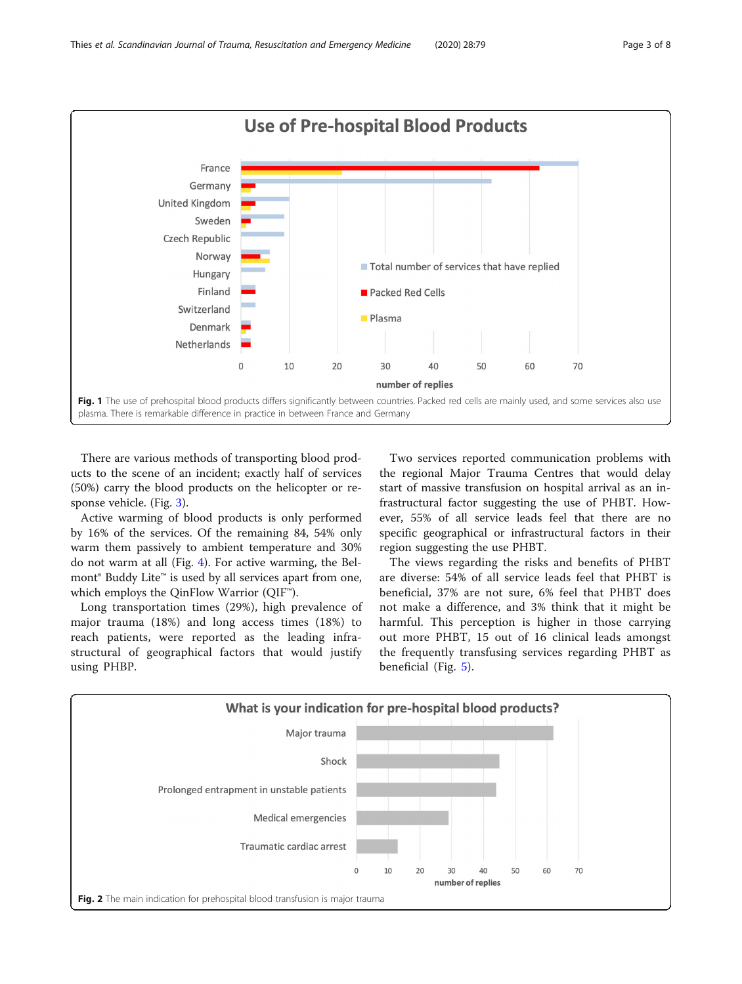<span id="page-2-0"></span>

There are various methods of transporting blood products to the scene of an incident; exactly half of services (50%) carry the blood products on the helicopter or response vehicle. (Fig. [3](#page-3-0)).

Active warming of blood products is only performed by 16% of the services. Of the remaining 84, 54% only warm them passively to ambient temperature and 30% do not warm at all (Fig. [4\)](#page-3-0). For active warming, the Belmont® Buddy Lite™ is used by all services apart from one, which employs the QinFlow Warrior (QIF™).

Long transportation times (29%), high prevalence of major trauma (18%) and long access times (18%) to reach patients, were reported as the leading infrastructural of geographical factors that would justify using PHBP.

Two services reported communication problems with the regional Major Trauma Centres that would delay start of massive transfusion on hospital arrival as an infrastructural factor suggesting the use of PHBT. However, 55% of all service leads feel that there are no specific geographical or infrastructural factors in their region suggesting the use PHBT.

The views regarding the risks and benefits of PHBT are diverse: 54% of all service leads feel that PHBT is beneficial, 37% are not sure, 6% feel that PHBT does not make a difference, and 3% think that it might be harmful. This perception is higher in those carrying out more PHBT, 15 out of 16 clinical leads amongst the frequently transfusing services regarding PHBT as beneficial (Fig. [5](#page-4-0)).

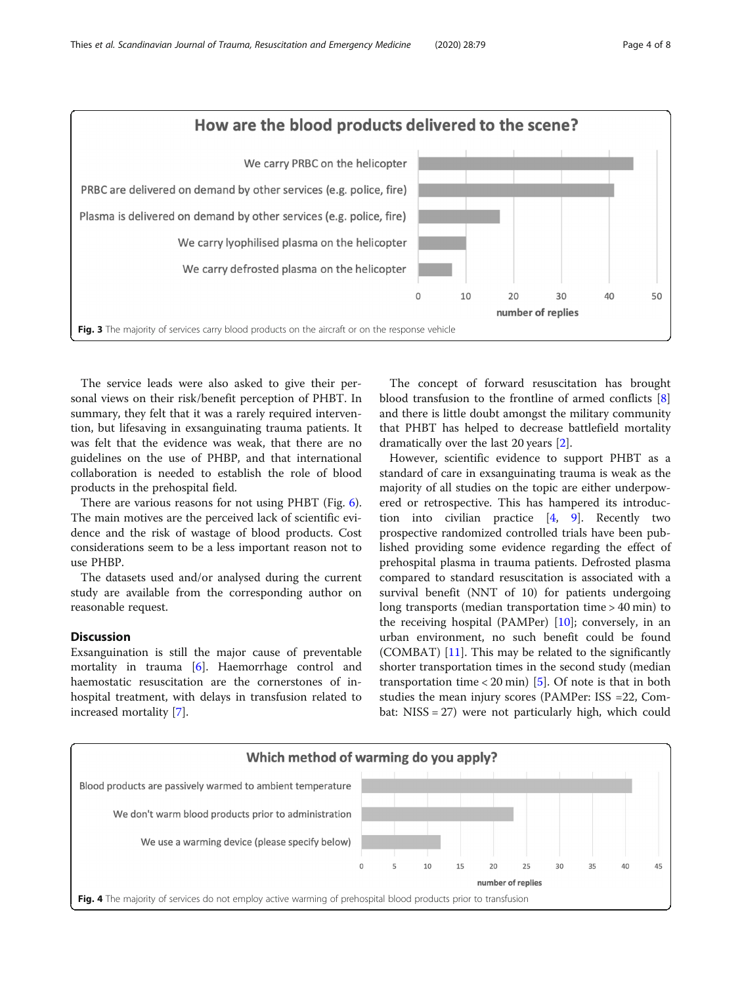<span id="page-3-0"></span>

The service leads were also asked to give their personal views on their risk/benefit perception of PHBT. In summary, they felt that it was a rarely required intervention, but lifesaving in exsanguinating trauma patients. It was felt that the evidence was weak, that there are no guidelines on the use of PHBP, and that international collaboration is needed to establish the role of blood products in the prehospital field.

There are various reasons for not using PHBT (Fig. [6](#page-4-0)). The main motives are the perceived lack of scientific evidence and the risk of wastage of blood products. Cost considerations seem to be a less important reason not to use PHBP.

The datasets used and/or analysed during the current study are available from the corresponding author on reasonable request.

#### **Discussion**

Exsanguination is still the major cause of preventable mortality in trauma [\[6](#page-7-0)]. Haemorrhage control and haemostatic resuscitation are the cornerstones of inhospital treatment, with delays in transfusion related to increased mortality [\[7](#page-7-0)].

The concept of forward resuscitation has brought blood transfusion to the frontline of armed conflicts [\[8](#page-7-0)] and there is little doubt amongst the military community that PHBT has helped to decrease battlefield mortality dramatically over the last 20 years [\[2](#page-6-0)].

However, scientific evidence to support PHBT as a standard of care in exsanguinating trauma is weak as the majority of all studies on the topic are either underpowered or retrospective. This has hampered its introduction into civilian practice [\[4](#page-7-0), [9](#page-7-0)]. Recently two prospective randomized controlled trials have been published providing some evidence regarding the effect of prehospital plasma in trauma patients. Defrosted plasma compared to standard resuscitation is associated with a survival benefit (NNT of 10) for patients undergoing long transports (median transportation time > 40 min) to the receiving hospital (PAMPer)  $[10]$ ; conversely, in an urban environment, no such benefit could be found (COMBAT)  $[11]$  $[11]$ . This may be related to the significantly shorter transportation times in the second study (median transportation time  $\langle 20 \text{ min} \rangle$  [\[5](#page-7-0)]. Of note is that in both studies the mean injury scores (PAMPer: ISS =22, Combat: NISS = 27) were not particularly high, which could

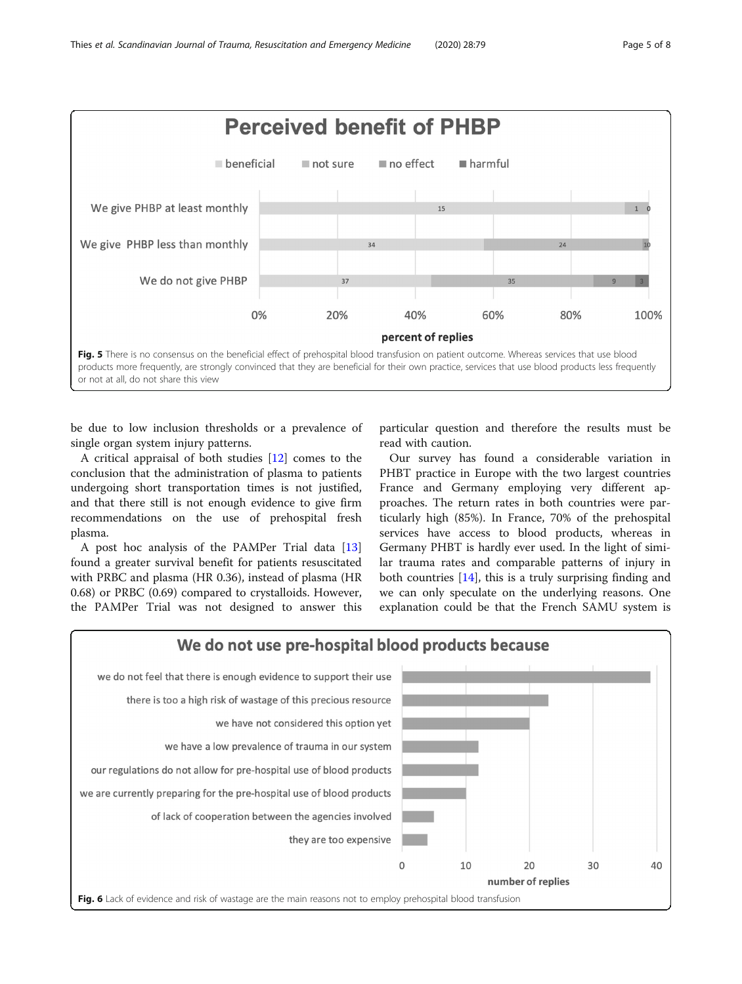<span id="page-4-0"></span>

be due to low inclusion thresholds or a prevalence of single organ system injury patterns.

A critical appraisal of both studies [\[12](#page-7-0)] comes to the conclusion that the administration of plasma to patients undergoing short transportation times is not justified, and that there still is not enough evidence to give firm recommendations on the use of prehospital fresh plasma.

A post hoc analysis of the PAMPer Trial data [[13](#page-7-0)] found a greater survival benefit for patients resuscitated with PRBC and plasma (HR 0.36), instead of plasma (HR 0.68) or PRBC (0.69) compared to crystalloids. However, the PAMPer Trial was not designed to answer this

particular question and therefore the results must be read with caution.

Our survey has found a considerable variation in PHBT practice in Europe with the two largest countries France and Germany employing very different approaches. The return rates in both countries were particularly high (85%). In France, 70% of the prehospital services have access to blood products, whereas in Germany PHBT is hardly ever used. In the light of similar trauma rates and comparable patterns of injury in both countries [\[14\]](#page-7-0), this is a truly surprising finding and we can only speculate on the underlying reasons. One explanation could be that the French SAMU system is

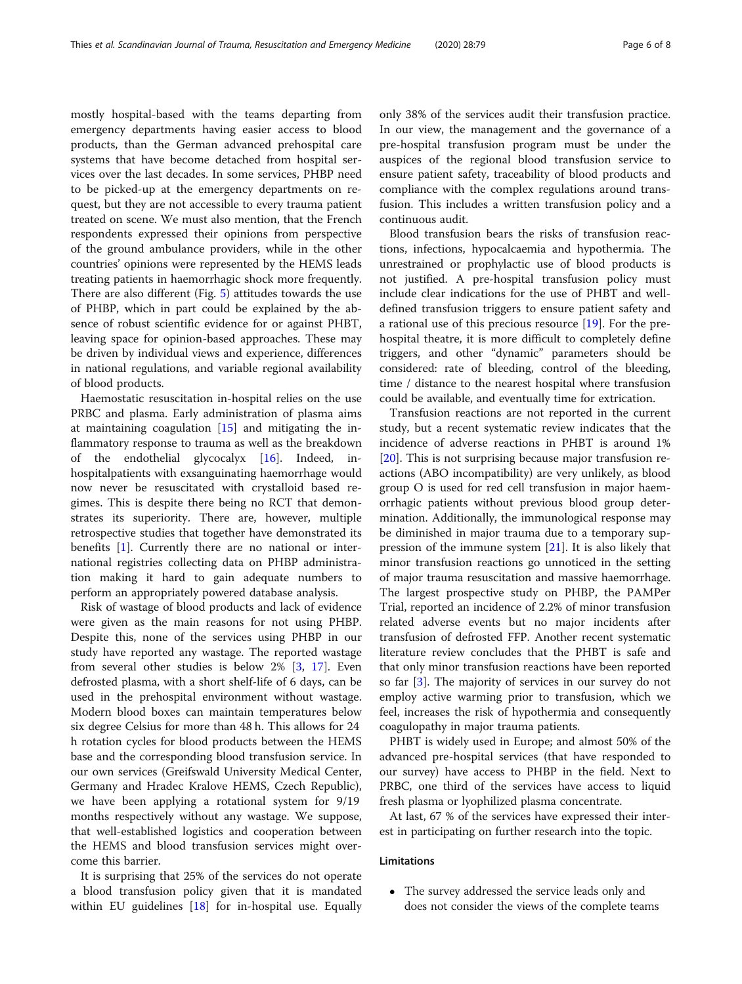mostly hospital-based with the teams departing from emergency departments having easier access to blood products, than the German advanced prehospital care systems that have become detached from hospital services over the last decades. In some services, PHBP need to be picked-up at the emergency departments on request, but they are not accessible to every trauma patient treated on scene. We must also mention, that the French respondents expressed their opinions from perspective of the ground ambulance providers, while in the other countries' opinions were represented by the HEMS leads treating patients in haemorrhagic shock more frequently. There are also different (Fig. [5\)](#page-4-0) attitudes towards the use of PHBP, which in part could be explained by the absence of robust scientific evidence for or against PHBT, leaving space for opinion-based approaches. These may be driven by individual views and experience, differences in national regulations, and variable regional availability of blood products.

Haemostatic resuscitation in-hospital relies on the use PRBC and plasma. Early administration of plasma aims at maintaining coagulation [[15](#page-7-0)] and mitigating the inflammatory response to trauma as well as the breakdown of the endothelial glycocalyx  $[16]$  $[16]$  $[16]$ . Indeed, hospitalpatients with exsanguinating haemorrhage would now never be resuscitated with crystalloid based regimes. This is despite there being no RCT that demonstrates its superiority. There are, however, multiple retrospective studies that together have demonstrated its benefits [[1\]](#page-6-0). Currently there are no national or international registries collecting data on PHBP administration making it hard to gain adequate numbers to perform an appropriately powered database analysis.

Risk of wastage of blood products and lack of evidence were given as the main reasons for not using PHBP. Despite this, none of the services using PHBP in our study have reported any wastage. The reported wastage from several other studies is below 2% [[3,](#page-6-0) [17\]](#page-7-0). Even defrosted plasma, with a short shelf-life of 6 days, can be used in the prehospital environment without wastage. Modern blood boxes can maintain temperatures below six degree Celsius for more than 48 h. This allows for 24 h rotation cycles for blood products between the HEMS base and the corresponding blood transfusion service. In our own services (Greifswald University Medical Center, Germany and Hradec Kralove HEMS, Czech Republic), we have been applying a rotational system for 9/19 months respectively without any wastage. We suppose, that well-established logistics and cooperation between the HEMS and blood transfusion services might overcome this barrier.

It is surprising that 25% of the services do not operate a blood transfusion policy given that it is mandated within EU guidelines [\[18](#page-7-0)] for in-hospital use. Equally only 38% of the services audit their transfusion practice. In our view, the management and the governance of a pre-hospital transfusion program must be under the auspices of the regional blood transfusion service to ensure patient safety, traceability of blood products and compliance with the complex regulations around transfusion. This includes a written transfusion policy and a continuous audit.

Blood transfusion bears the risks of transfusion reactions, infections, hypocalcaemia and hypothermia. The unrestrained or prophylactic use of blood products is not justified. A pre-hospital transfusion policy must include clear indications for the use of PHBT and welldefined transfusion triggers to ensure patient safety and a rational use of this precious resource [[19](#page-7-0)]. For the prehospital theatre, it is more difficult to completely define triggers, and other "dynamic" parameters should be considered: rate of bleeding, control of the bleeding, time / distance to the nearest hospital where transfusion could be available, and eventually time for extrication.

Transfusion reactions are not reported in the current study, but a recent systematic review indicates that the incidence of adverse reactions in PHBT is around 1% [[20\]](#page-7-0). This is not surprising because major transfusion reactions (ABO incompatibility) are very unlikely, as blood group O is used for red cell transfusion in major haemorrhagic patients without previous blood group determination. Additionally, the immunological response may be diminished in major trauma due to a temporary suppression of the immune system [[21\]](#page-7-0). It is also likely that minor transfusion reactions go unnoticed in the setting of major trauma resuscitation and massive haemorrhage. The largest prospective study on PHBP, the PAMPer Trial, reported an incidence of 2.2% of minor transfusion related adverse events but no major incidents after transfusion of defrosted FFP. Another recent systematic literature review concludes that the PHBT is safe and that only minor transfusion reactions have been reported so far [[3\]](#page-6-0). The majority of services in our survey do not employ active warming prior to transfusion, which we feel, increases the risk of hypothermia and consequently coagulopathy in major trauma patients.

PHBT is widely used in Europe; and almost 50% of the advanced pre-hospital services (that have responded to our survey) have access to PHBP in the field. Next to PRBC, one third of the services have access to liquid fresh plasma or lyophilized plasma concentrate.

At last, 67 % of the services have expressed their interest in participating on further research into the topic.

#### Limitations

 The survey addressed the service leads only and does not consider the views of the complete teams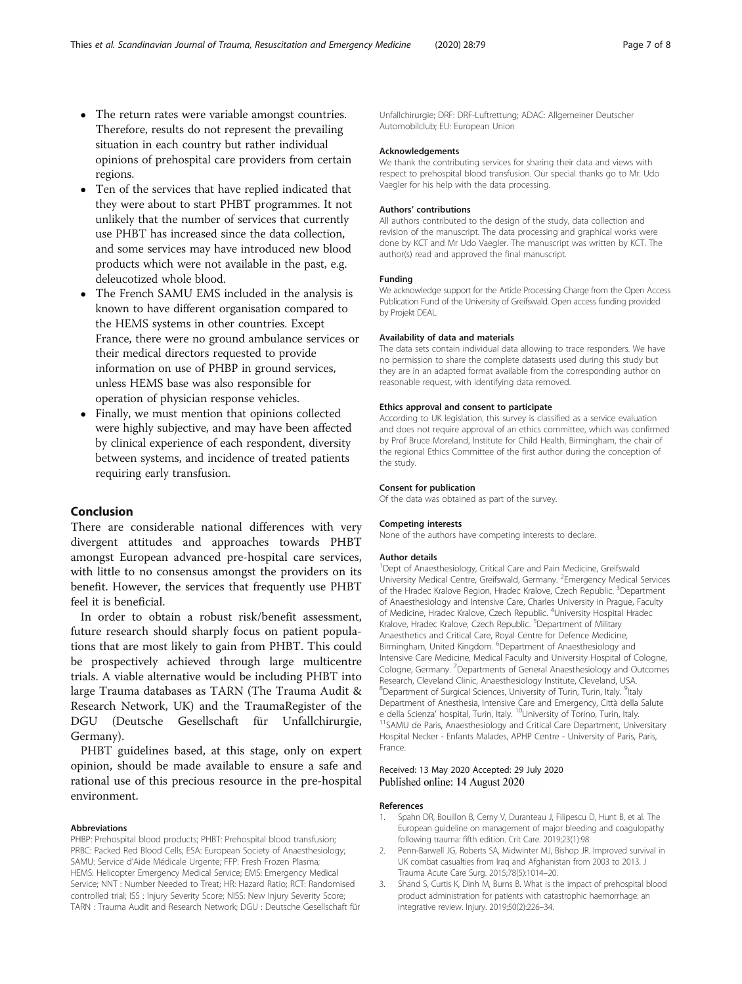- <span id="page-6-0"></span> The return rates were variable amongst countries. Therefore, results do not represent the prevailing situation in each country but rather individual opinions of prehospital care providers from certain regions.
- Ten of the services that have replied indicated that they were about to start PHBT programmes. It not unlikely that the number of services that currently use PHBT has increased since the data collection, and some services may have introduced new blood products which were not available in the past, e.g. deleucotized whole blood.
- The French SAMU EMS included in the analysis is known to have different organisation compared to the HEMS systems in other countries. Except France, there were no ground ambulance services or their medical directors requested to provide information on use of PHBP in ground services, unless HEMS base was also responsible for operation of physician response vehicles.
- Finally, we must mention that opinions collected were highly subjective, and may have been affected by clinical experience of each respondent, diversity between systems, and incidence of treated patients requiring early transfusion.

#### Conclusion

There are considerable national differences with very divergent attitudes and approaches towards PHBT amongst European advanced pre-hospital care services, with little to no consensus amongst the providers on its benefit. However, the services that frequently use PHBT feel it is beneficial.

In order to obtain a robust risk/benefit assessment, future research should sharply focus on patient populations that are most likely to gain from PHBT. This could be prospectively achieved through large multicentre trials. A viable alternative would be including PHBT into large Trauma databases as TARN (The Trauma Audit & Research Network, UK) and the TraumaRegister of the DGU (Deutsche Gesellschaft für Unfallchirurgie, Germany).

PHBT guidelines based, at this stage, only on expert opinion, should be made available to ensure a safe and rational use of this precious resource in the pre-hospital environment.

#### Abbreviations

PHBP: Prehospital blood products; PHBT: Prehospital blood transfusion; PRBC: Packed Red Blood Cells; ESA: European Society of Anaesthesiology; SAMU: Service d'Aide Médicale Urgente; FFP: Fresh Frozen Plasma; HEMS: Helicopter Emergency Medical Service; EMS: Emergency Medical Service; NNT : Number Needed to Treat; HR: Hazard Ratio; RCT: Randomised controlled trial; ISS : Injury Severity Score; NISS: New Injury Severity Score; TARN : Trauma Audit and Research Network; DGU : Deutsche Gesellschaft für Unfallchirurgie; DRF: DRF-Luftrettung; ADAC: Allgemeiner Deutscher Automobilclub; EU: European Union

#### Acknowledgements

We thank the contributing services for sharing their data and views with respect to prehospital blood transfusion. Our special thanks go to Mr. Udo Vaegler for his help with the data processing.

#### Authors' contributions

All authors contributed to the design of the study, data collection and revision of the manuscript. The data processing and graphical works were done by KCT and Mr Udo Vaegler. The manuscript was written by KCT. The author(s) read and approved the final manuscript.

#### Funding

We acknowledge support for the Article Processing Charge from the Open Access Publication Fund of the University of Greifswald. Open access funding provided by Projekt DEAL.

#### Availability of data and materials

The data sets contain individual data allowing to trace responders. We have no permission to share the complete datasests used during this study but they are in an adapted format available from the corresponding author on reasonable request, with identifying data removed.

#### Ethics approval and consent to participate

According to UK legislation, this survey is classified as a service evaluation and does not require approval of an ethics committee, which was confirmed by Prof Bruce Moreland, Institute for Child Health, Birmingham, the chair of the regional Ethics Committee of the first author during the conception of the study.

#### Consent for publication

Of the data was obtained as part of the survey.

#### Competing interests

None of the authors have competing interests to declare.

#### Author details

<sup>1</sup>Dept of Anaesthesiology, Critical Care and Pain Medicine, Greifswald University Medical Centre, Greifswald, Germany. <sup>2</sup>Emergency Medical Services of the Hradec Kralove Region, Hradec Kralove, Czech Republic. <sup>3</sup>Department of Anaesthesiology and Intensive Care, Charles University in Prague, Faculty of Medicine, Hradec Kralove, Czech Republic. <sup>4</sup>University Hospital Hradec Kralove, Hradec Kralove, Czech Republic. <sup>5</sup>Department of Military Anaesthetics and Critical Care, Royal Centre for Defence Medicine, Birmingham, United Kingdom. <sup>6</sup>Department of Anaesthesiology and Intensive Care Medicine, Medical Faculty and University Hospital of Cologne, Cologne, Germany. <sup>7</sup>Departments of General Anaesthesiology and Outcomes Research, Cleveland Clinic, Anaesthesiology Institute, Cleveland, USA. <sup>8</sup>Department of Surgical Sciences, University of Turin, Turin, Italy. <sup>9</sup>Italy Department of Anesthesia, Intensive Care and Emergency, Città della Salute e della Scienza' hospital, Turin, Italy. <sup>10</sup>University of Torino, Turin, Italy. <sup>11</sup>SAMU de Paris, Anaesthesiology and Critical Care Department, Universitary Hospital Necker - Enfants Malades, APHP Centre - University of Paris, Paris, France.

#### Received: 13 May 2020 Accepted: 29 July 2020 Published online: 14 August 2020

#### References

- 1. Spahn DR, Bouillon B, Cerny V, Duranteau J, Filipescu D, Hunt B, et al. The European guideline on management of major bleeding and coagulopathy following trauma: fifth edition. Crit Care. 2019;23(1):98.
- 2. Penn-Barwell JG, Roberts SA, Midwinter MJ, Bishop JR. Improved survival in UK combat casualties from Iraq and Afghanistan from 2003 to 2013. J Trauma Acute Care Surg. 2015;78(5):1014–20.
- 3. Shand S, Curtis K, Dinh M, Burns B. What is the impact of prehospital blood product administration for patients with catastrophic haemorrhage: an integrative review. Injury. 2019;50(2):226–34.